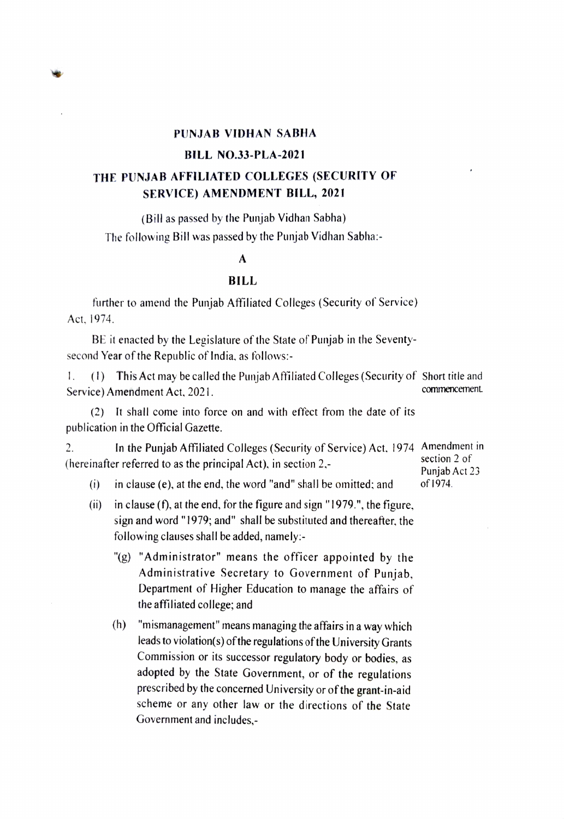

## BILL NO.33-PLA-2021

# THE PUNJAB AFFILIATED COLLEGES (SECURITY OF SERVICE) AMENDMENT BILL, 2021

(Bill as passed by the Punjab Vidhan Sabha) The following Bill was passed by the Punjab Vidhan Sabha:-

## A

### BILL

further to amend the Punjab Affiliated Colleges (Security of Service) Act, 1974.

BE it enacted by the Legislature of the State of Punjab in the Seventysecond Year of the Republic of India, as follows:-

. (1) This Act may be called the Punjab Affiliated Colleges (Security of Short title and Service) Amendment Act. 2021. commencement

(2) It shall come into force on and with effect from the date of its publication in the Official Gazette.

In the Punjab Afiliated Colleges (Security of Service) Act. 1974 Amendment in section 2 of 2. (hereinafter referred to as the principal Act), in section 2. Punjab Act 23

(i) in clause (e), at the end, the word "and" shall be omitted; and of 1974.

- (ii) in clause (f), at the end, for the figure and sign "1979.", the figure, sign and word "1979; and" shall be substituted and thereafter. the following clauses shall be added, namely:
	- "g) "Administrator" means the officer appointed by the Administrative Secretary to Government of Punjab, Department of Higher Education to manage the affairs of the affiliated college; and
	- (h) "mismanagement" means managing the affairs ina way which leads to violation(s) of the regulations of the University Grants Commission or its successor regulatory body or bodies, as adopted by the State Government, or of the regulations prescribed by the concerned University or of the grant-in-aid scheme or any other law or the directions of the State Government and includes,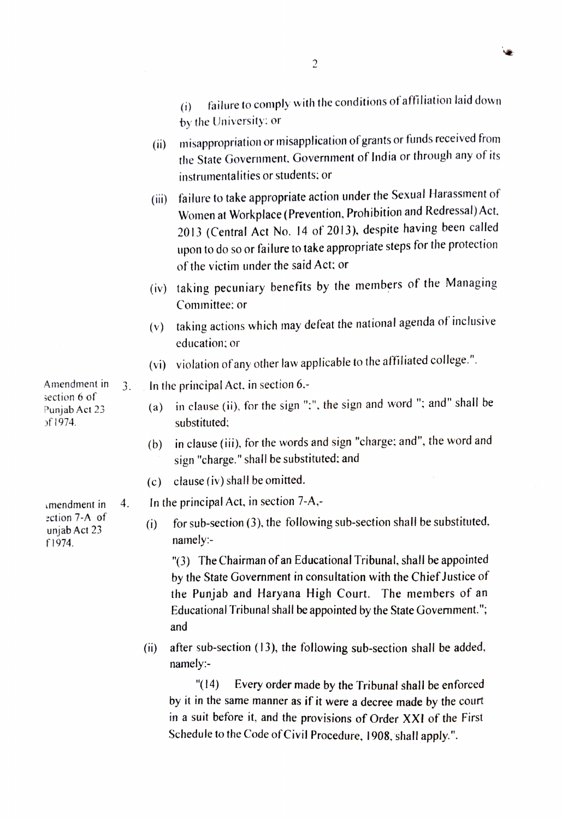|                                                           |  |       | instrumentalities or students; or                                                                                                                                                                                                                                                                                      |
|-----------------------------------------------------------|--|-------|------------------------------------------------------------------------------------------------------------------------------------------------------------------------------------------------------------------------------------------------------------------------------------------------------------------------|
|                                                           |  | (iii) | failure to take appropriate action under the Sexual Harassment of<br>Women at Workplace (Prevention, Prohibition and Redressal) Act,<br>2013 (Central Act No. 14 of 2013), despite having been called<br>upon to do so or failure to take appropriate steps for the protection<br>of the victim under the said Act; or |
|                                                           |  |       | (iv) taking pecuniary benefits by the members of the Managing<br>Committee; or                                                                                                                                                                                                                                         |
|                                                           |  | (v)   | taking actions which may defeat the national agenda of inclusive<br>education; or                                                                                                                                                                                                                                      |
|                                                           |  |       | (vi) violation of any other law applicable to the affiliated college.".                                                                                                                                                                                                                                                |
| Amendment in<br>section 6 of<br>Punjab Act 23<br>of 1974. |  |       | 3. In the principal Act, in section $6$ .                                                                                                                                                                                                                                                                              |
|                                                           |  | (a)   | in clause (ii), for the sign ";", the sign and word "; and" shall be<br>substituted;                                                                                                                                                                                                                                   |
|                                                           |  | (b)   | in clause (iii), for the words and sign "charge; and", the word and<br>sign "charge." shall be substituted; and                                                                                                                                                                                                        |
|                                                           |  |       |                                                                                                                                                                                                                                                                                                                        |

(c) clause (iv) shall be omitted.

 $a$  mendment in 4. In the principal Act, in section 7-A,-

Experise 7-A of for sub-section (3), the following sub-section shall be substituted,  $\frac{\text{unipb} Act 23}{}$  $f1974.$  namely:-

> 3) The Chairman of an Educational Tribunal, shall be appointed by the State Government in consultation with the Chief Justice of the Punjab and Haryana High Court. The members of an Educational Tribunal shall be appointed by the State Govemment."; and

(i) after sub-section (13), the following sub-section shall be added, namely:-

"(14) Every order made by the Tribunal shall be enforced by it in the same manner as if it were a decree made by the court in a suit before it, and the provisions of Order XXI of the First Schedule to the Code of Civil Procedure, 1908, shall apply.".

2

- failure to comply with the conditions of affiliation laid down by the University: or (i)
- misappropriation or misapplication of grants or funds received from the State Government. Government of India or through any of its (ii)
- Women at Workplace (Prevention, Prohibition and Redressal) Act. 2013 (Central Act No. 14 of 2013), despite having been called upon to do so or failure to take appropriate steps for the protection
- 
- $(v)$  taking actions which may defeat the national agenda of inclusive